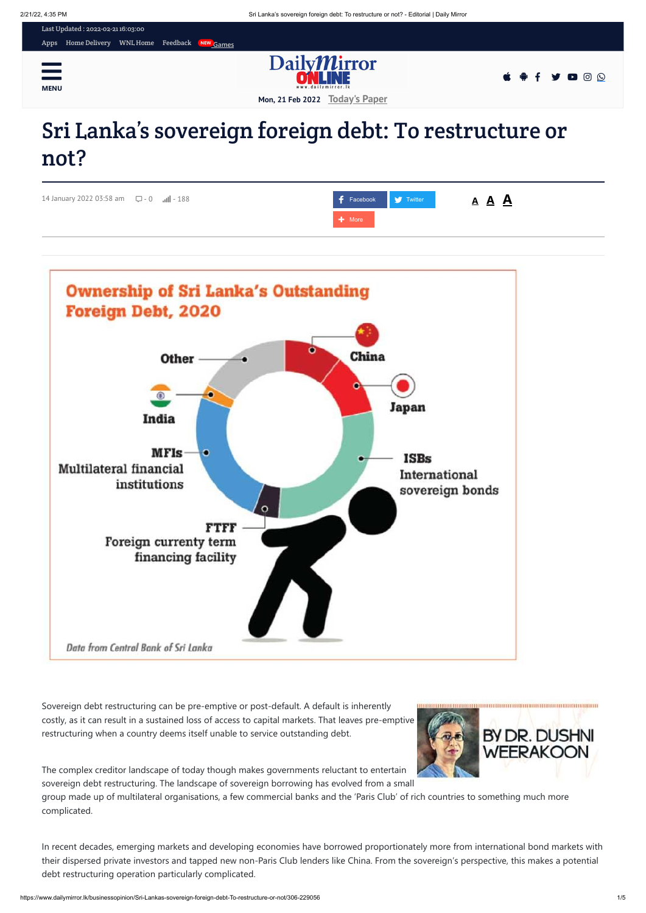

# Sri Lanka's sovereign foreign debt: To restructure or not?

Sovereign debt restructuring can be pre-emptive or post-default. A default is inherently costly, as it can result in a sustained loss of access to capital markets. That leaves pre-emptive restructuring when a country deems itself unable to service outstanding debt.

The complex creditor landscape of today though makes governments reluctant to entertain sovereign debt restructuring. The landscape of sovereign borrowing has evolved from a small

group made up of multilateral organisations, a few commercial banks and the 'Paris Club' of rich countries to something much more complicated.

In recent decades, emerging markets and developing economies have borrowed proportionately more from international bond markets with their dispersed private investors and tapped new non-Paris Club lenders like China. From the sovereign's perspective, this makes a potential debt restructuring operation particularly complicated.

BY DR. DUSHNI

**WEERAKOON** 

| 14 January 2022 03:58 am $\qquad \qquad \Box - 0$ $\qquad \qquad$ $\Box$ - 188 | <b>F</b> Facebook Twitter | <u>A A A</u> |
|--------------------------------------------------------------------------------|---------------------------|--------------|
|                                                                                | H More                    |              |

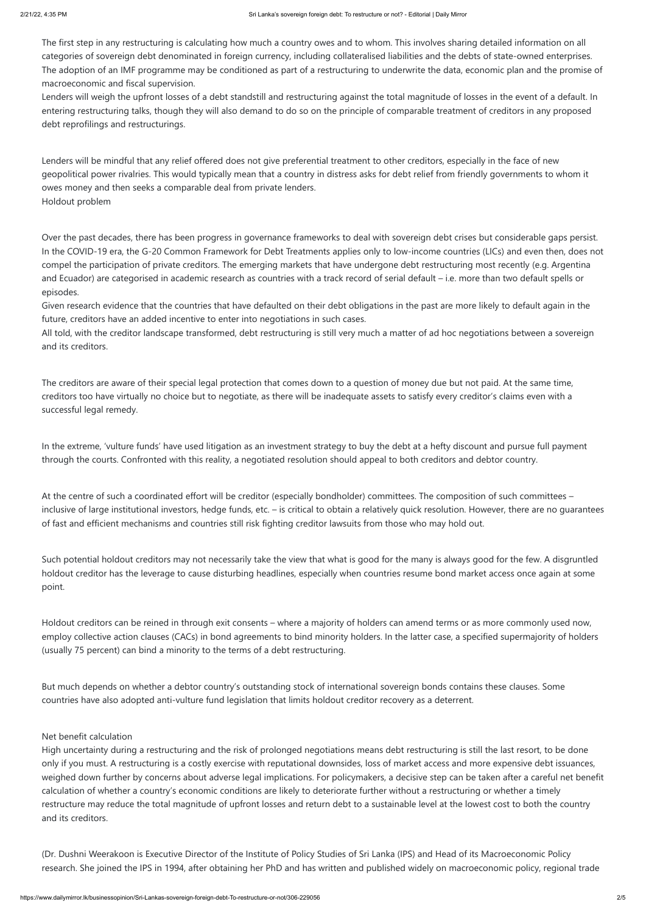The first step in any restructuring is calculating how much a country owes and to whom. This involves sharing detailed information on all categories of sovereign debt denominated in foreign currency, including collateralised liabilities and the debts of state-owned enterprises. The adoption of an IMF programme may be conditioned as part of a restructuring to underwrite the data, economic plan and the promise of macroeconomic and fiscal supervision.

Lenders will weigh the upfront losses of a debt standstill and restructuring against the total magnitude of losses in the event of a default. In entering restructuring talks, though they will also demand to do so on the principle of comparable treatment of creditors in any proposed debt reprofilings and restructurings.

Lenders will be mindful that any relief offered does not give preferential treatment to other creditors, especially in the face of new geopolitical power rivalries. This would typically mean that a country in distress asks for debt relief from friendly governments to whom it owes money and then seeks a comparable deal from private lenders. Holdout problem

Over the past decades, there has been progress in governance frameworks to deal with sovereign debt crises but considerable gaps persist. In the COVID-19 era, the G-20 Common Framework for Debt Treatments applies only to low-income countries (LICs) and even then, does not compel the participation of private creditors. The emerging markets that have undergone debt restructuring most recently (e.g. Argentina and Ecuador) are categorised in academic research as countries with a track record of serial default – i.e. more than two default spells or episodes.

Given research evidence that the countries that have defaulted on their debt obligations in the past are more likely to default again in the future, creditors have an added incentive to enter into negotiations in such cases.

All told, with the creditor landscape transformed, debt restructuring is still very much a matter of ad hoc negotiations between a sovereign and its creditors.

The creditors are aware of their special legal protection that comes down to a question of money due but not paid. At the same time, creditors too have virtually no choice but to negotiate, as there will be inadequate assets to satisfy every creditor's claims even with a successful legal remedy.

In the extreme, 'vulture funds' have used litigation as an investment strategy to buy the debt at a hefty discount and pursue full payment through the courts. Confronted with this reality, a negotiated resolution should appeal to both creditors and debtor country.

At the centre of such a coordinated effort will be creditor (especially bondholder) committees. The composition of such committees – inclusive of large institutional investors, hedge funds, etc. – is critical to obtain a relatively quick resolution. However, there are no guarantees of fast and efficient mechanisms and countries still risk fighting creditor lawsuits from those who may hold out.

Such potential holdout creditors may not necessarily take the view that what is good for the many is always good for the few. A disgruntled holdout creditor has the leverage to cause disturbing headlines, especially when countries resume bond market access once again at some point.

Holdout creditors can be reined in through exit consents – where a majority of holders can amend terms or as more commonly used now, employ collective action clauses (CACs) in bond agreements to bind minority holders. In the latter case, a specified supermajority of holders (usually 75 percent) can bind a minority to the terms of a debt restructuring.

But much depends on whether a debtor country's outstanding stock of international sovereign bonds contains these clauses. Some

countries have also adopted anti-vulture fund legislation that limits holdout creditor recovery as a deterrent.

#### Net benefit calculation

High uncertainty during a restructuring and the risk of prolonged negotiations means debt restructuring is still the last resort, to be done only if you must. A restructuring is a costly exercise with reputational downsides, loss of market access and more expensive debt issuances, weighed down further by concerns about adverse legal implications. For policymakers, a decisive step can be taken after a careful net benefit calculation of whether a country's economic conditions are likely to deteriorate further without a restructuring or whether a timely restructure may reduce the total magnitude of upfront losses and return debt to a sustainable level at the lowest cost to both the country and its creditors.

(Dr. Dushni Weerakoon is Executive Director of the Institute of Policy Studies of Sri Lanka (IPS) and Head of its Macroeconomic Policy research. She joined the IPS in 1994, after obtaining her PhD and has written and published widely on macroeconomic policy, regional trade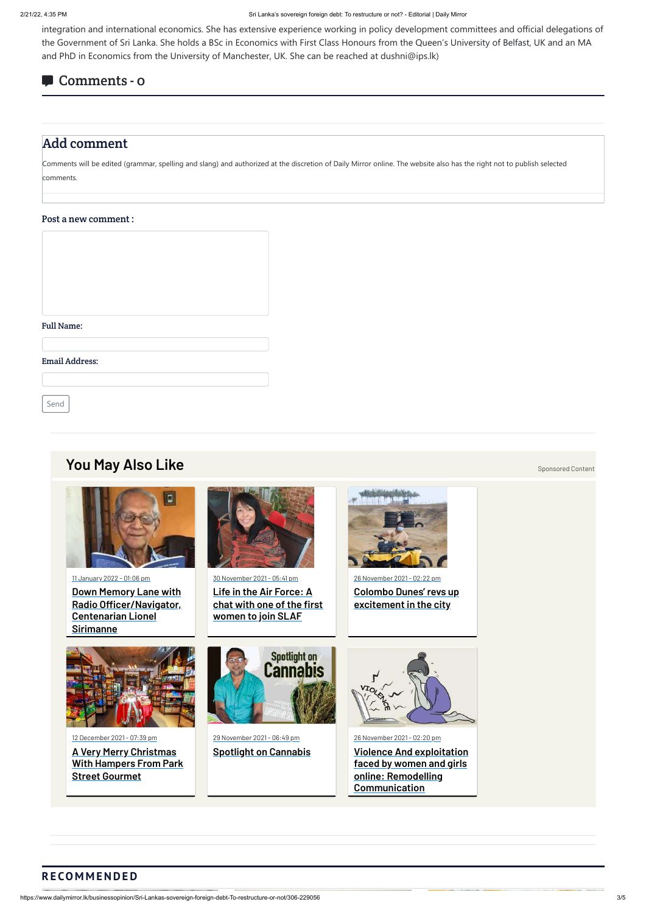integration and international economics. She has extensive experience working in policy development committees and official delegations of the Government of Sri Lanka. She holds a BSc in Economics with First Class Honours from the Queen's University of Belfast, UK and an MA and PhD in Economics from the University of Manchester, UK. She can be reached at dushni@ips.lk)

## Comments - 0

## Add comment

Comments will be edited (grammar, spelling and slang) and authorized at the discretion of Daily Mirror online. The website also has the right not to publish selected comments.

#### Post a new comment :

#### Full Name:

Email Address:

Send

## **[You May Also Like](http://www.dailymirror.lk/you_may_also_like)** [Sponsored Content](http://www.dailymirror.lk/feedback) Also Research 2012 and 2012 and 2012 and 2012 and 2012 and 2012 and 2012 and 2012 and 2012 and 2012 and 2012 and 2012 and 2012 and 2012 and 2012 and 2012 and 2012 and 2012 and 2012 and



11 January 2022 - 01:06 pm **Down Memory Lane with [Radio Officer/Navigator,](https://www.life.lk/article/latest_stories/Down-Memory-Lane-with-Radio-Officer/Navigator--Centenarian-Lionel-Sirimanne/1/20012) Centenarian Lionel Sirimanne**

12 December 2021 - 07:39 pm

**A Very Merry Christmas [With Hampers From Park](https://www.life.lk/article/latest_stories/A-Very-Merry-Christmas-With-Hampers-From-Park-Street-Gourmet/1/19967?fbclid=IwAR1Bd1hubYv11OS9CeSH9KnKuENNAALDa7UMO50JnXpJhozbrTbzvl4_1_I) Street Gourmet**



30 November 2021 - 05:41 pm **Life in the Air Force: A [chat with one of the first](https://www.life.lk/article/latest_stories/Life-in-the-Air-Force:-A-chat-with-one-of-the-first-women-to-join-SLAF/1/19953?fbclid=IwAR0D09B1xnozZ3srX3tM4kpTuKn-qa7cALlR3HsIzW3j_3SJypEjCFz4fmc) women to join SLAF**

29 November 2021 - 06:49 pm

**[Spotlight on Cannabis](https://www.life.lk/article/video/Spotlight-on-Cannabis/3/19951)**



26 November 2021 - 02:22 pm **[Colombo Dunes' revs up](https://www.life.lk/article/latest_stories/%E2%80%99Colombo-Dunes%E2%80%99-revs-up-excitement-in-the-city/1/19940) excitement in the city**







26 November 2021 - 02:20 pm

**[Violence And exploitation](https://www.life.lk/article/latest_stories/Violence-And-exploitation-faced-by-women-and-girls-online:-Remodelling-Communication/1/19950) faced by women and girls online: Remodelling Communication**

### **R E CO M M E N D E D**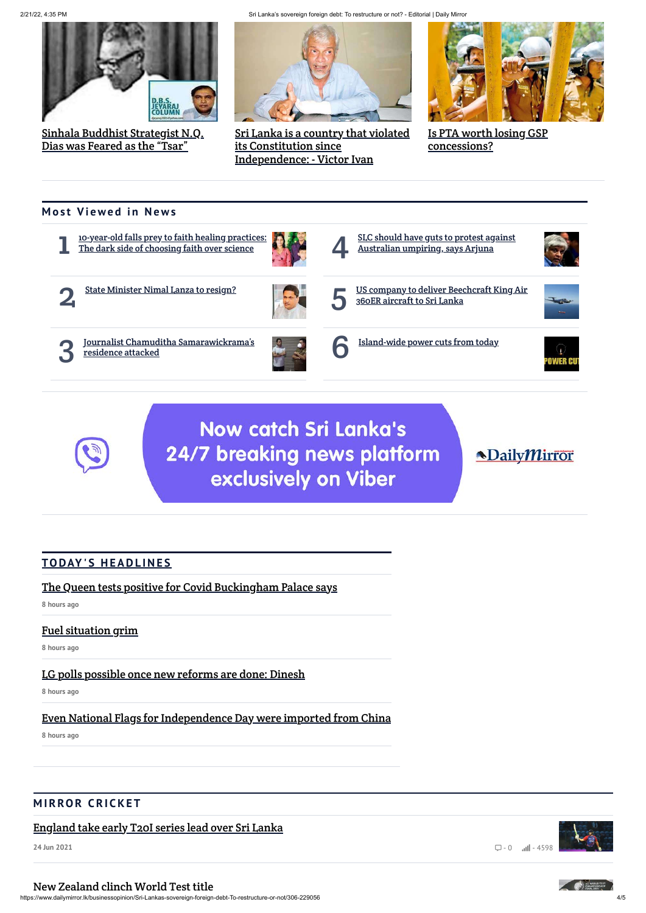2/21/22, 4:35 PM Sri Lanka's sovereign foreign debt: To restructure or not? - Editorial | Daily Mirror

https://www.dailymirror.lk/businessopinion/Sri-Lankas-sovereign-foreign-debt-To-restructure-or-not/306-229056 4/5





[Sinhala Buddhist Strategist N.Q.](https://www.dailymirror.lk/recomended-news/Sinhala-Buddhist-Strategist-N-Q--Dias-was-Feared-as-the-%E2%80%9CTsar%E2%80%9D/277-231418) Dias was Feared as the "Tsar"



[Sri Lanka is a country that violated](https://www.dailymirror.lk/recomended-news/Sri-Lanka-is-a-country-that-violated-its-Constitution-since-Independence%3A---Victor-Ivan/277-231284) its Constitution since Independence: - Victor Ivan



[Is PTA worth losing GSP](https://www.dailymirror.lk/recomended-news/Is-PTA-worth-losing-GSP-concessions-/277-231283) concessions?

## **Most Viewed in News**

1 [10-year-old falls prey to faith healing practices:](https://www.dailymirror.lk/plus/10-year-old-falls-prey-to-faith-healing-practices%3A-The-dark-side-of-choosing-faith-over-science/352-230990) The dark side of choosing faith over science



2

[State Minister Nimal Lanza to resign?](https://www.dailymirror.lk/latest_news/State-Minister-Nimal-Lanza-to-resign-/342-231139)



3 [Journalist Chamuditha Samarawickrama's](https://www.dailymirror.lk/latest_news/Journalist-Chamuditha-Samarawickrama%E2%80%99s-residence-attacked/342-231037) residence attacked



4 [SLC should have guts to protest against](https://www.dailymirror.lk/sports/SLC-should-have-guts-to-protest-against-Australian-umpiring--says-Arjuna/323-231065) Australian umpiring, says Arjuna



5

[US company to deliver Beechcraft King Air](https://www.dailymirror.lk/breaking_news/US-company-to-deliver-Beechcraft-King-Air-360ER-aircraft-to-Sri-Lanka/108-231419)

360ER aircraft to Sri Lanka

6 [Island-wide power cuts from today](https://www.dailymirror.lk/latest_news/Island-wide-power-cuts-from-today/342-231354)



**Now catch Sri Lanka's** 24/7 breaking news platform exclusively on Viber

**NDailyMirror** 

## **[TO DAY ' S H E A D L I N E S](https://www.dailymirror.lk/print)**

[The Queen tests positive for Covid Buckingham Palace says](https://www.dailymirror.lk/print/front_page/The-Queen-tests-positive-for-Covid-Buckingham-Palace-says/238-231495)

**8 hours ago**

## [Fuel situation grim](https://www.dailymirror.lk/print/front_page/Fuel-situation-grim/238-231494)

**8 hours ago**

[LG polls possible once new reforms are done: Dinesh](https://www.dailymirror.lk/print/main_image/LG-polls-possible-once-new-reforms-are-done-Dinesh/346-231493)

## [Even National Flags for Independence Day were imported from China](https://www.dailymirror.lk/print/front_page/Even-National-Flags-for-Independence-Day-were-imported-from-China/238-231492)

**8 hours ago**

## **MIRROR CRICKET**

[England take early T20I series lead over Sri Lanka](https://www.dailymirror.lk/top-story-01/England-take-early-T20I-series-lead-over-Sri-Lanka/316-214750)

**24 Jun 2021**

# $\Box - 0$   $\Box$  - 4598

#### [New Zealand clinch World Test title](https://www.dailymirror.lk/top-story-01/New-Zealand-clinch-World-Test-title/316-214749)